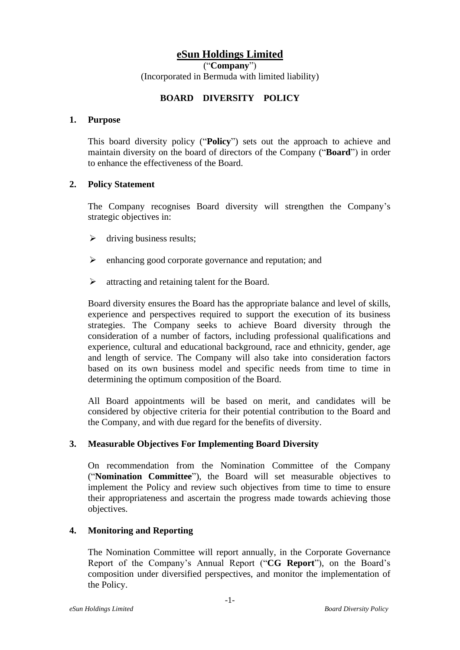# **eSun Holdings Limited**

("**Company**")

(Incorporated in Bermuda with limited liability)

## **BOARD DIVERSITY POLICY**

#### **1. Purpose**

This board diversity policy ("**Policy**") sets out the approach to achieve and maintain diversity on the board of directors of the Company ("**Board**") in order to enhance the effectiveness of the Board.

### **2. Policy Statement**

The Company recognises Board diversity will strengthen the Company's strategic objectives in:

- $\triangleright$  driving business results;
- ➢ enhancing good corporate governance and reputation; and
- ➢ attracting and retaining talent for the Board.

Board diversity ensures the Board has the appropriate balance and level of skills, experience and perspectives required to support the execution of its business strategies. The Company seeks to achieve Board diversity through the consideration of a number of factors, including professional qualifications and experience, cultural and educational background, race and ethnicity, gender, age and length of service. The Company will also take into consideration factors based on its own business model and specific needs from time to time in determining the optimum composition of the Board.

All Board appointments will be based on merit, and candidates will be considered by objective criteria for their potential contribution to the Board and the Company, and with due regard for the benefits of diversity.

### **3. Measurable Objectives For Implementing Board Diversity**

On recommendation from the Nomination Committee of the Company ("**Nomination Committee**"), the Board will set measurable objectives to implement the Policy and review such objectives from time to time to ensure their appropriateness and ascertain the progress made towards achieving those objectives.

### **4. Monitoring and Reporting**

The Nomination Committee will report annually, in the Corporate Governance Report of the Company's Annual Report ("**CG Report**"), on the Board's composition under diversified perspectives, and monitor the implementation of the Policy.